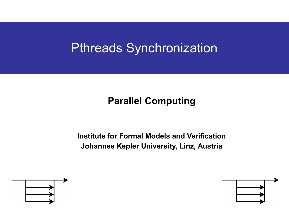# Pthreads Synchronization

### **Parallel Computing**

**Institute for Formal Models and Verification Johannes Kepler University, Linz, Austria**



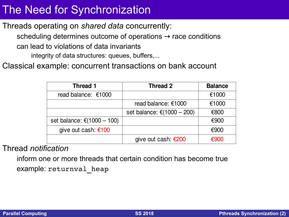### The Need for Synchronization

Threads operating on *shared data* concurrently:

scheduling determines outcome of operations  $\rightarrow$  race conditions can lead to violations of data invariants integrity of data structures: queues, buffers,...

Classical example: concurrent transactions on bank account

| <b>Thread 1</b>            | <b>Thread 2</b>            | <b>Balance</b> |
|----------------------------|----------------------------|----------------|
| read balance: €1000        |                            | €1000          |
|                            | read balance: €1000        | €1000          |
|                            | set balance: €(1000 - 200) | €800           |
| set balance: €(1000 - 100) |                            | €900           |
| give out cash: €100        |                            | €900           |
|                            | give out cash: €200        | <i>€</i> 900   |

### Thread *notification*

inform one or more threads that certain condition has become true example: returnval heap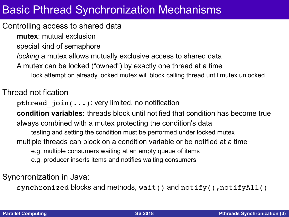### Basic Pthread Synchronization Mechanisms

#### Controlling access to shared data

**mutex**: mutual exclusion special kind of semaphore *locking* a mutex allows mutually exclusive access to shared data A mutex can be locked ("owned") by exactly one thread at a time lock attempt on already locked mutex will block calling thread until mutex unlocked

#### Thread notification

pthread\_join(...): very limited, no notification

**condition variables:** threads block until notified that condition has become true always combined with a mutex protecting the condition's data testing and setting the condition must be performed under locked mutex multiple threads can block on a condition variable or be notified at a time e.g. multiple consumers waiting at an empty queue of items e.g. producer inserts items and notifies waiting consumers

Synchronization in Java:

synchronized blocks and methods,  $wait()$  and  $notify()$ ,  $notifyAll()$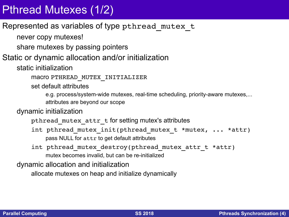# Pthread Mutexes (1/2)

### Represented as variables of type pthread\_mutex\_t

never copy mutexes!

share mutexes by passing pointers

### Static or dynamic allocation and/or initialization

static initialization

macro PTHREAD\_MUTEX\_INITIALIZER

set default attributes

e.g. process/system-wide mutexes, real-time scheduling, priority-aware mutexes,... attributes are beyond our scope

dynamic initialization

pthread\_mutex\_attr\_t for setting mutex's attributes

int pthread mutex init(pthread mutex t \*mutex, ... \*attr) pass NULL for attr to get default attributes

int pthread mutex destroy(pthread mutex attr t \*attr) mutex becomes invalid, but can be re-initialized

dynamic allocation and initialization

allocate mutexes on heap and initialize dynamically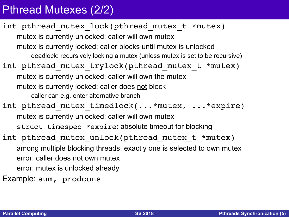## Pthread Mutexes (2/2)

int pthread mutex lock(pthread mutex t \*mutex) mutex is currently unlocked: caller will own mutex mutex is currently locked: caller blocks until mutex is unlocked deadlock: recursively locking a mutex (unless mutex is set to be recursive) int pthread mutex trylock(pthread mutex t \*mutex) mutex is currently unlocked: caller will own the mutex mutex is currently locked: caller does not block caller can e.g. enter alternative branch int pthread mutex timedlock(...\*mutex, ...\*expire) mutex is currently unlocked: caller will own mutex struct timespec \*expire: absolute timeout for blocking int pthread mutex unlock(pthread mutex t \*mutex) among multiple blocking threads, exactly one is selected to own mutex error: caller does not own mutex error: mutex is unlocked already Example: sum, prodcons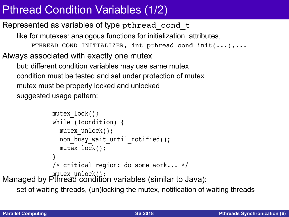# Pthread Condition Variables (1/2)

### Represented as variables of type pthread\_cond\_t

like for mutexes: analogous functions for initialization, attributes,... PTHREAD COND INITIALIZER, int pthread cond init(...),... Always associated with exactly one mutex but: different condition variables may use same mutex condition must be tested and set under protection of mutex mutex must be properly locked and unlocked suggested usage pattern:

```
Managed by Pthread condition variables (similar to Java):
  mutex_lock();
  while (!condition) {
    mutex unlock();
    non_busy_wait_until_notified();
      mutex_lock();
  }
  /* critical region: do some work... */
  mutex_unlock();
```
set of waiting threads, (un)locking the mutex, notification of waiting threads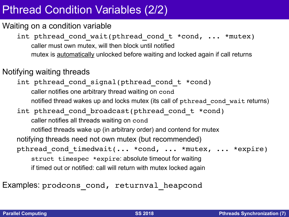## Pthread Condition Variables (2/2)

#### Waiting on a condition variable

int pthread cond wait(pthread cond t \*cond, ... \*mutex) caller must own mutex, will then block until notified mutex is automatically unlocked before waiting and locked again if call returns

#### Notifying waiting threads

int pthread cond signal(pthread cond t \*cond) caller notifies one arbitrary thread waiting on cond notified thread wakes up and locks mutex (its call of pthread cond wait returns) int pthread cond broadcast(pthread cond t \*cond) caller notifies all threads waiting on cond notified threads wake up (in arbitrary order) and contend for mutex notifying threads need not own mutex (but recommended) pthread\_cond\_timedwait(... \*cond, ... \*mutex, ... \*expire) struct timespec \*expire: absolute timeout for waiting if timed out or notified: call will return with mutex locked again

Examples: prodcons cond, returnval heapcond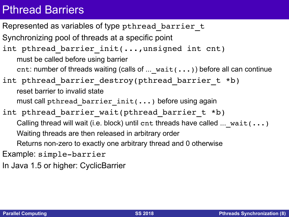### Pthread Barriers

Represented as variables of type pthread barrier t Synchronizing pool of threads at a specific point int pthread barrier init(...,unsigned int cnt) must be called before using barrier cnt: number of threads waiting (calls of  $\dots$  wait( $\dots$ )) before all can continue int pthread barrier destroy(pthread barrier t \*b) reset barrier to invalid state must call pthread barrier  $init(...)$  before using again int pthread barrier wait(pthread barrier t \*b) Calling thread will wait (i.e. block) until cnt threads have called ...  $wait(\ldots)$ Waiting threads are then released in arbitrary order Returns non-zero to exactly one arbitrary thread and 0 otherwise Example: simple-barrier

In Java 1.5 or higher: CyclicBarrier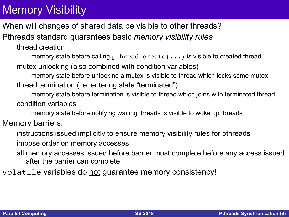# Memory Visibility

When will changes of shared data be visible to other threads?

Pthreads standard guarantees basic *memory visibility rules*

thread creation

memory state before calling pthread create(...) is visible to created thread mutex unlocking (also combined with condition variables)

memory state before unlocking a mutex is visible to thread which locks same mutex thread termination (i.e. entering state "terminated")

memory state before termination is visible to thread which joins with terminated thread condition variables

memory state before notifying waiting threads is visible to woke up threads

#### Memory barriers:

instructions issued implicitly to ensure memory visibility rules for pthreads

impose order on memory accesses

all memory accesses issued before barrier must complete before any access issued after the barrier can complete

volatile variables do not guarantee memory consistency!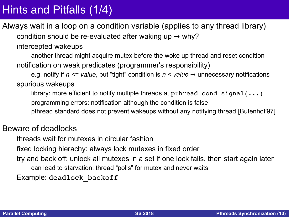## Hints and Pitfalls (1/4)

Always wait in a loop on a condition variable (applies to any thread library) condition should be re-evaluated after waking up  $\rightarrow$  why?

intercepted wakeups

another thread might acquire mutex before the woke up thread and reset condition notification on weak predicates (programmer's responsibility)

e.g. notify if *n <= value*, but "tight" condition is *n < value* → unnecessary notifications spurious wakeups

library: more efficient to notify multiple threads at pthread cond signal( $\ldots$ ) programming errors: notification although the condition is false pthread standard does not prevent wakeups without any notifying thread [Butenhof'97]

#### Beware of deadlocks

threads wait for mutexes in circular fashion fixed locking hierachy: always lock mutexes in fixed order try and back off: unlock all mutexes in a set if one lock fails, then start again later

can lead to starvation: thread "polls" for mutex and never waits

Example: deadlock\_backoff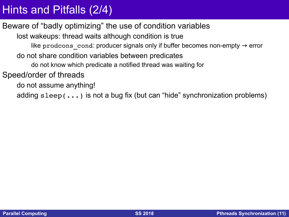### Hints and Pitfalls (2/4)

### Beware of "badly optimizing" the use of condition variables

lost wakeups: thread waits although condition is true

like prodcons cond: producer signals only if buffer becomes non-empty  $\rightarrow$  error

do not share condition variables between predicates

do not know which predicate a notified thread was waiting for

Speed/order of threads

do not assume anything!

adding sleep(...) is not a bug fix (but can "hide" synchronization problems)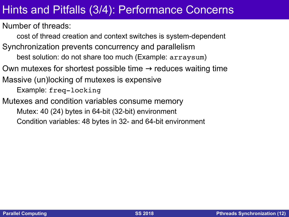### Hints and Pitfalls (3/4): Performance Concerns

Number of threads:

cost of thread creation and context switches is system-dependent Synchronization prevents concurrency and parallelism best solution: do not share too much (Example: arraysum) Own mutexes for shortest possible time  $\rightarrow$  reduces waiting time Massive (un)locking of mutexes is expensive Example: freq-locking Mutexes and condition variables consume memory Mutex: 40 (24) bytes in 64-bit (32-bit) environment Condition variables: 48 bytes in 32- and 64-bit environment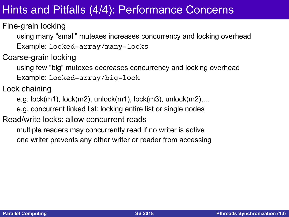### Hints and Pitfalls (4/4): Performance Concerns

Fine-grain locking

using many "small" mutexes increases concurrency and locking overhead Example: locked-array/many-locks

Coarse-grain locking

using few "big" mutexes decreases concurrency and locking overhead Example: locked-array/big-lock

Lock chaining

e.g. lock(m1), lock(m2), unlock(m1), lock(m3), unlock(m2),...

e.g. concurrent linked list: locking entire list or single nodes

#### Read/write locks: allow concurrent reads

multiple readers may concurrently read if no writer is active one writer prevents any other writer or reader from accessing